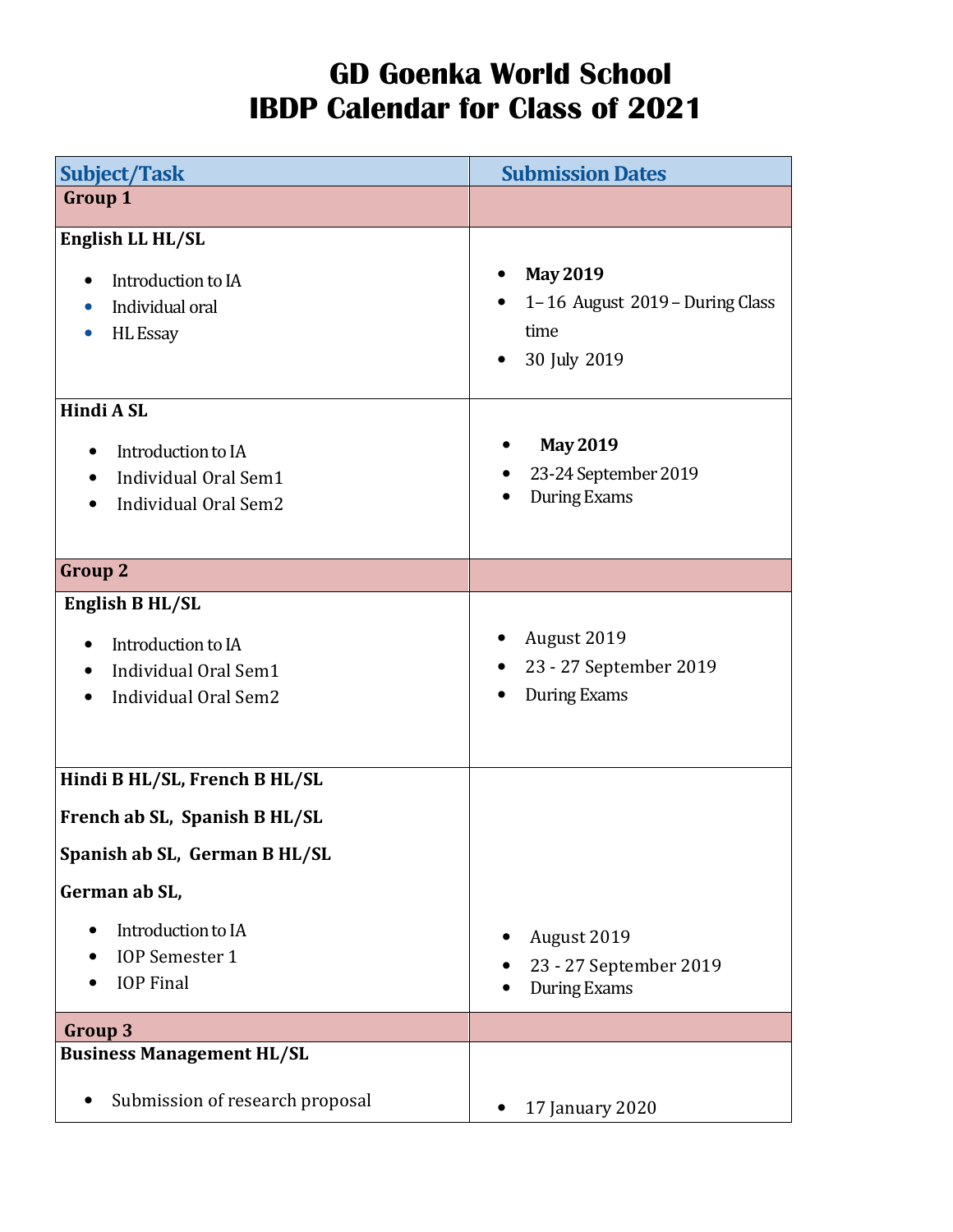## GD Goenka World School IBDP Calendar for Class of 2021

| <b>Subject/Task</b>                                                                                             | <b>Submission Dates</b>                                                    |
|-----------------------------------------------------------------------------------------------------------------|----------------------------------------------------------------------------|
| <b>Group 1</b>                                                                                                  |                                                                            |
| English LL HL/SL<br>Introduction to IA<br>Individual oral<br>$\bullet$<br><b>HL</b> Essay<br>$\bullet$          | <b>May 2019</b><br>1-16 August 2019 - During Class<br>time<br>30 July 2019 |
| Hindi A SL<br>Introduction to IA<br>Individual Oral Sem1<br>Individual Oral Sem2                                | <b>May 2019</b><br>23-24 September 2019<br><b>During Exams</b>             |
| <b>Group 2</b>                                                                                                  |                                                                            |
| English B HL/SL<br>Introduction to IA<br>Individual Oral Sem1<br>$\bullet$<br>Individual Oral Sem2<br>$\bullet$ | August 2019<br>23 - 27 September 2019<br>During Exams                      |
| Hindi B HL/SL, French B HL/SL                                                                                   |                                                                            |
| French ab SL, Spanish B HL/SL                                                                                   |                                                                            |
| Spanish ab SL, German B HL/SL                                                                                   |                                                                            |
| German ab SL,                                                                                                   |                                                                            |
| Introduction to IA<br>$\bullet$<br><b>IOP</b> Semester 1<br><b>IOP</b> Final                                    | August 2019<br>23 - 27 September 2019<br><b>During Exams</b>               |
| <b>Group 3</b>                                                                                                  |                                                                            |
| <b>Business Management HL/SL</b>                                                                                |                                                                            |
| Submission of research proposal                                                                                 | 17 January 2020                                                            |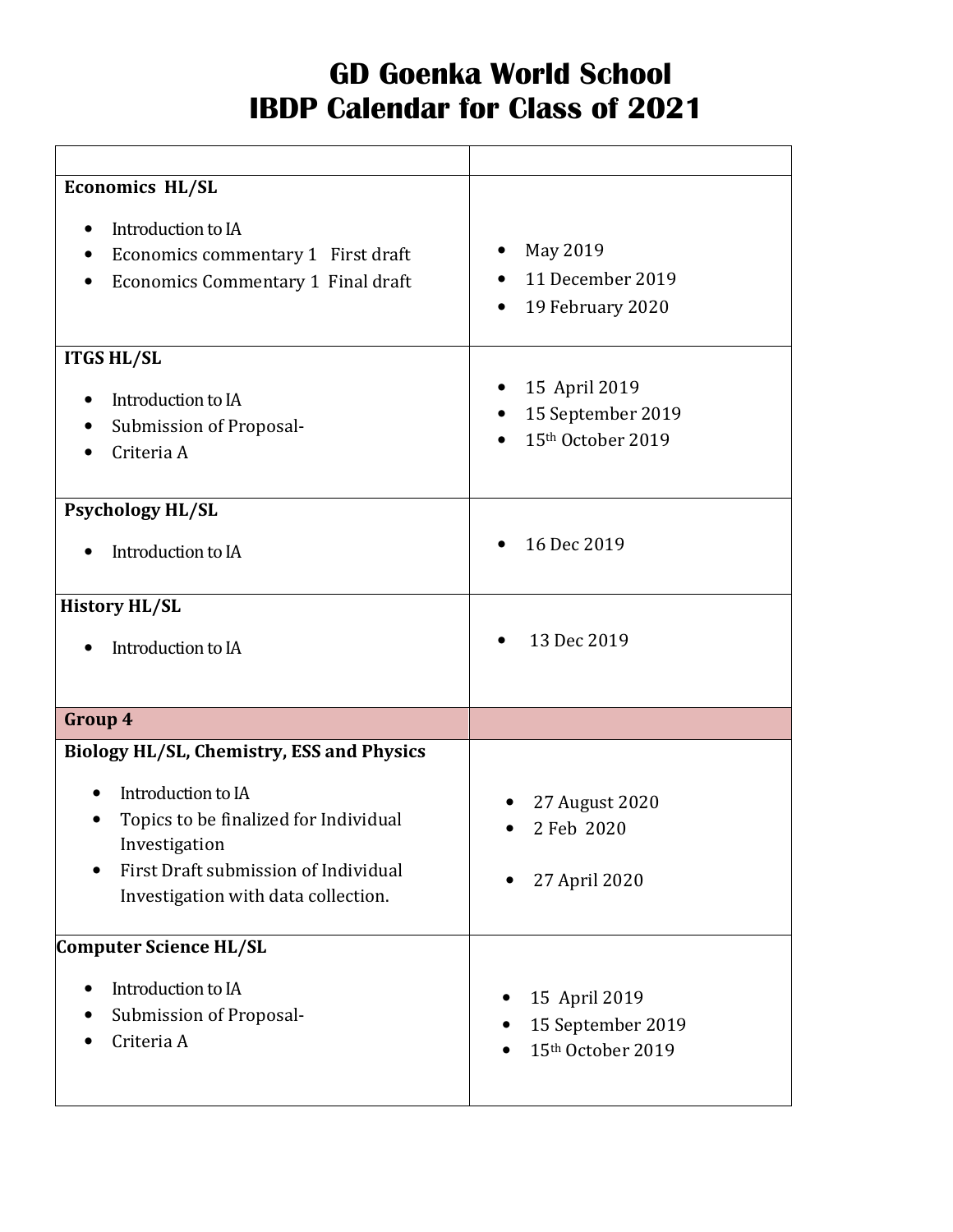## GD Goenka World School IBDP Calendar for Class of 2021

| <b>Economics HL/SL</b>                                                                                                                                      |                                                               |
|-------------------------------------------------------------------------------------------------------------------------------------------------------------|---------------------------------------------------------------|
| Introduction to IA<br>$\bullet$<br>Economics commentary 1 First draft<br>Economics Commentary 1 Final draft                                                 | May 2019<br>11 December 2019<br>19 February 2020<br>$\bullet$ |
| <b>ITGS HL/SL</b><br>Introduction to IA                                                                                                                     | 15 April 2019                                                 |
| $\bullet$<br>Submission of Proposal-<br>Criteria A                                                                                                          | 15 September 2019<br>15th October 2019                        |
| <b>Psychology HL/SL</b>                                                                                                                                     |                                                               |
| Introduction to IA                                                                                                                                          | 16 Dec 2019                                                   |
| <b>History HL/SL</b>                                                                                                                                        |                                                               |
| Introduction to IA                                                                                                                                          | 13 Dec 2019                                                   |
| Group 4                                                                                                                                                     |                                                               |
| <b>Biology HL/SL, Chemistry, ESS and Physics</b>                                                                                                            |                                                               |
| Introduction to IA<br>Topics to be finalized for Individual<br>Investigation<br>First Draft submission of Individual<br>Investigation with data collection. | 27 August 2020<br>2 Feb 2020<br>27 April 2020                 |
| Computer Science HL/SL                                                                                                                                      |                                                               |
| Introduction to IA<br>$\bullet$<br>Submission of Proposal-<br>Criteria A                                                                                    | 15 April 2019<br>15 September 2019<br>15th October 2019       |